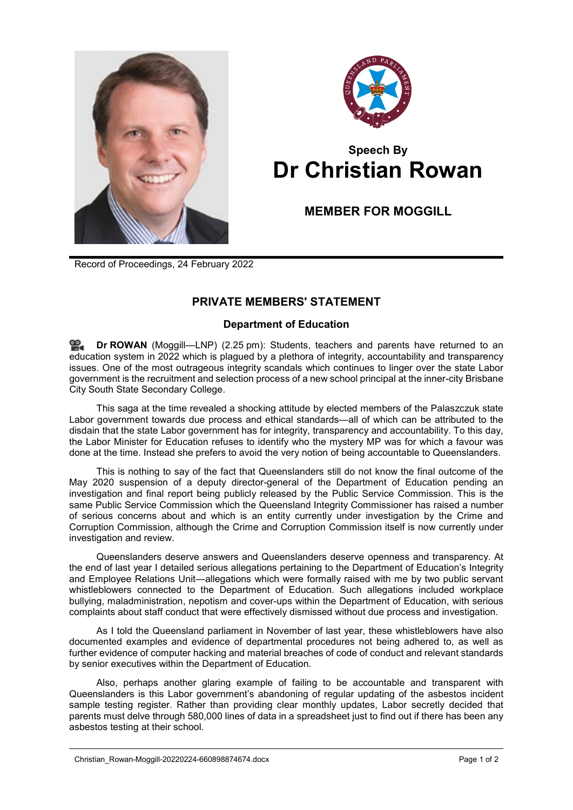



## **Speech By Dr Christian Rowan**

**MEMBER FOR MOGGILL**

Record of Proceedings, 24 February 2022

## **PRIVATE MEMBERS' STATEMENT**

## **Department of Education**

**Dr [ROWAN](http://www.parliament.qld.gov.au/docs/find.aspx?id=0Mba20220224_142547)** (Moggill—LNP) (2.25 pm): Students, teachers and parents have returned to an education system in 2022 which is plagued by a plethora of integrity, accountability and transparency issues. One of the most outrageous integrity scandals which continues to linger over the state Labor government is the recruitment and selection process of a new school principal at the inner-city Brisbane City South State Secondary College.

This saga at the time revealed a shocking attitude by elected members of the Palaszczuk state Labor government towards due process and ethical standards—all of which can be attributed to the disdain that the state Labor government has for integrity, transparency and accountability. To this day, the Labor Minister for Education refuses to identify who the mystery MP was for which a favour was done at the time. Instead she prefers to avoid the very notion of being accountable to Queenslanders.

This is nothing to say of the fact that Queenslanders still do not know the final outcome of the May 2020 suspension of a deputy director-general of the Department of Education pending an investigation and final report being publicly released by the Public Service Commission. This is the same Public Service Commission which the Queensland Integrity Commissioner has raised a number of serious concerns about and which is an entity currently under investigation by the Crime and Corruption Commission, although the Crime and Corruption Commission itself is now currently under investigation and review.

Queenslanders deserve answers and Queenslanders deserve openness and transparency. At the end of last year I detailed serious allegations pertaining to the Department of Education's Integrity and Employee Relations Unit—allegations which were formally raised with me by two public servant whistleblowers connected to the Department of Education. Such allegations included workplace bullying, maladministration, nepotism and cover-ups within the Department of Education, with serious complaints about staff conduct that were effectively dismissed without due process and investigation.

As I told the Queensland parliament in November of last year, these whistleblowers have also documented examples and evidence of departmental procedures not being adhered to, as well as further evidence of computer hacking and material breaches of code of conduct and relevant standards by senior executives within the Department of Education.

Also, perhaps another glaring example of failing to be accountable and transparent with Queenslanders is this Labor government's abandoning of regular updating of the asbestos incident sample testing register. Rather than providing clear monthly updates, Labor secretly decided that parents must delve through 580,000 lines of data in a spreadsheet just to find out if there has been any asbestos testing at their school.